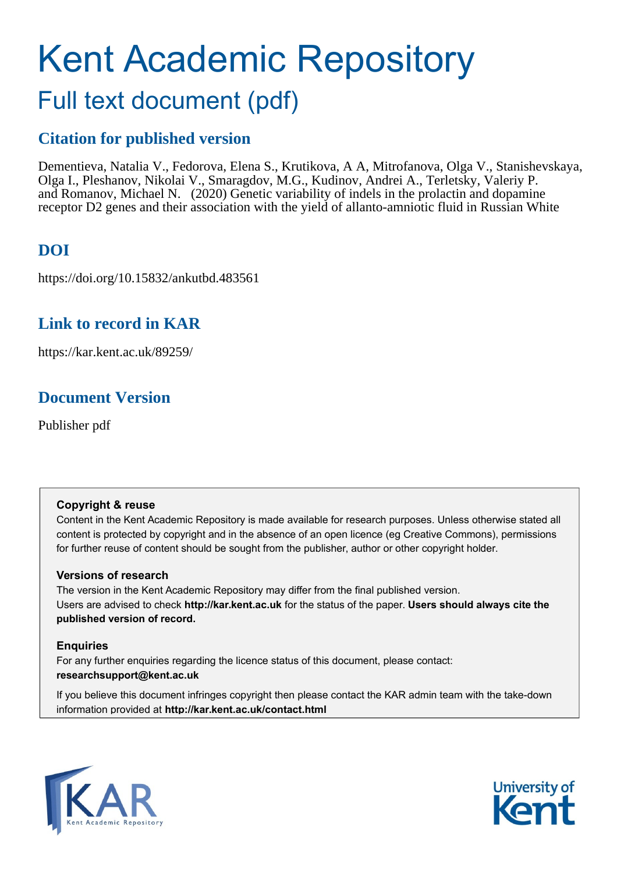# Kent Academic Repository

## Full text document (pdf)

## **Citation for published version**

Dementieva, Natalia V., Fedorova, Elena S., Krutikova, A A, Mitrofanova, Olga V., Stanishevskaya, Olga I., Pleshanov, Nikolai V., Smaragdov, M.G., Kudinov, Andrei A., Terletsky, Valeriy P. and Romanov, Michael N. (2020) Genetic variability of indels in the prolactin and dopamine receptor D2 genes and their association with the yield of allanto-amniotic fluid in Russian White

## **DOI**

https://doi.org/10.15832/ankutbd.483561

## **Link to record in KAR**

https://kar.kent.ac.uk/89259/

## **Document Version**

Publisher pdf

## **Copyright & reuse**

Content in the Kent Academic Repository is made available for research purposes. Unless otherwise stated all content is protected by copyright and in the absence of an open licence (eg Creative Commons), permissions for further reuse of content should be sought from the publisher, author or other copyright holder.

## **Versions of research**

The version in the Kent Academic Repository may differ from the final published version. Users are advised to check **http://kar.kent.ac.uk** for the status of the paper. **Users should always cite the published version of record.**

## **Enquiries**

For any further enquiries regarding the licence status of this document, please contact: **researchsupport@kent.ac.uk**

If you believe this document infringes copyright then please contact the KAR admin team with the take-down information provided at **http://kar.kent.ac.uk/contact.html**



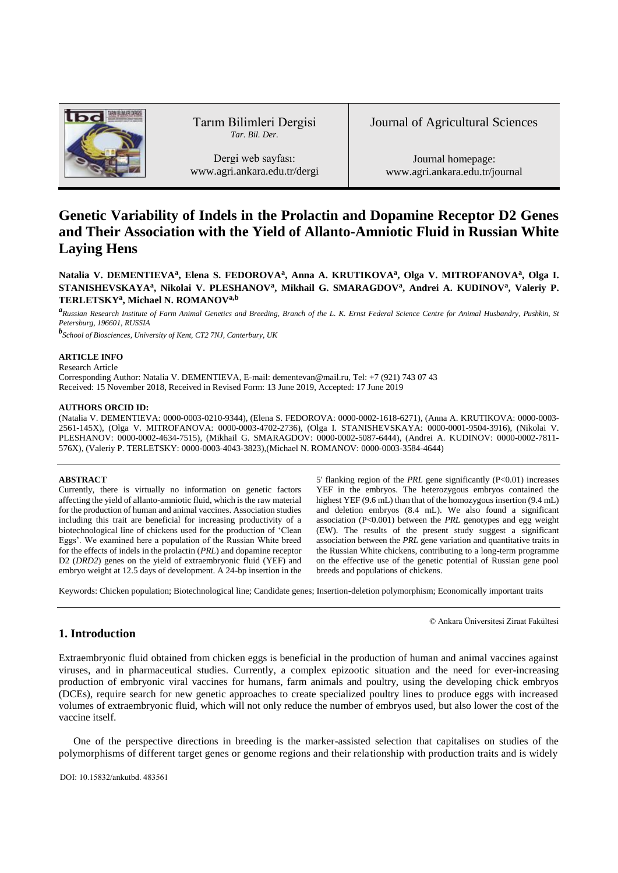

Tarım Bilimleri Dergisi *Tar. Bil. Der.*

Dergi web sayfası: www.agri.ankara.edu.tr/dergi Journal of Agricultural Sciences

Journal homepage: www.agri.ankara.edu.tr/journal

## **Genetic Variability of Indels in the Prolactin and Dopamine Receptor D2 Genes and Their Association with the Yield of Allanto-Amniotic Fluid in Russian White Laying Hens**

**Natalia V. DEMENTIEVA<sup>a</sup> , Elena S. FEDOROVA<sup>a</sup> , Anna A. KRUTIKOVA<sup>a</sup> , Olga V. MITROFANOVA<sup>a</sup> , Olga I. STANISHEVSKAYA<sup>a</sup> , Nikolai V. PLESHANOV<sup>a</sup> , Mikhail G. SMARAGDOV<sup>a</sup> , Andrei A. KUDINOV<sup>a</sup> , Valeriy P. TERLETSKY<sup>a</sup> , Michael N. ROMANOVa,b**

*a Russian Research Institute of Farm Animal Genetics and Breeding, Branch of the L. K. Ernst Federal Science Centre for Animal Husbandry, Pushkin, St Petersburg, 196601, RUSSIA* 

*b School of Biosciences, University of Kent, CT2 7NJ, Canterbury, UK* 

#### **ARTICLE INFO**

Research Article

Corresponding Author: Natalia V. DEMENTIEVA, E-mail[: dementevan@mail.ru,](mailto:dementevan@mail.ru) Tel: +7 (921) 743 07 43 Received: 15 November 2018, Received in Revised Form: 13 June 2019, Accepted: 17 June 2019

#### **AUTHORS ORCID ID:**

(Natalia V. DEMENTIEVA: 0000-0003-0210-9344), (Elena S. FEDOROVA: 0000-0002-1618-6271), (Anna A. KRUTIKOVA: 0000-0003- 2561-145X), (Olga V. MITROFANOVA: 0000-0003-4702-2736), (Olga I. STANISHEVSKAYA: 0000-0001-9504-3916), (Nikolai V. PLESHANOV: 0000-0002-4634-7515), (Mikhail G. SMARAGDOV: 0000-0002-5087-6444), (Andrei A. KUDINOV: 0000-0002-7811- 576X), (Valeriy P. TERLETSKY: 0000-0003-4043-3823),(Michael N. ROMANOV: 0000-0003-3584-4644)

#### **ABSTRACT**

Currently, there is virtually no information on genetic factors affecting the yield of allanto-amniotic fluid, which is the raw material for the production of human and animal vaccines. Association studies including this trait are beneficial for increasing productivity of a biotechnological line of chickens used for the production of 'Clean Eggs'. We examined here a population of the Russian White breed for the effects of indels in the prolactin (*PRL*) and dopamine receptor D2 (*DRD2*) genes on the yield of extraembryonic fluid (YEF) and embryo weight at 12.5 days of development. A 24-bp insertion in the

5' flanking region of the *PRL* gene significantly (P<0.01) increases YEF in the embryos. The heterozygous embryos contained the highest YEF (9.6 mL) than that of the homozygous insertion (9.4 mL) and deletion embryos (8.4 mL). We also found a significant association (P<0.001) between the *PRL* genotypes and egg weight (EW). The results of the present study suggest a significant association between the *PRL* gene variation and quantitative traits in the Russian White chickens, contributing to a long-term programme on the effective use of the genetic potential of Russian gene pool breeds and populations of chickens.

© Ankara Üniversitesi Ziraat Fakültesi

Keywords: Chicken population; Biotechnological line; Candidate genes; Insertion-deletion polymorphism; Economically important traits

#### **1. Introduction**

Extraembryonic fluid obtained from chicken eggs is beneficial in the production of human and animal vaccines against viruses, and in pharmaceutical studies. Currently, a complex epizootic situation and the need for ever-increasing production of embryonic viral vaccines for humans, farm animals and poultry, using the developing chick embryos (DCEs), require search for new genetic approaches to create specialized poultry lines to produce eggs with increased volumes of extraembryonic fluid, which will not only reduce the number of embryos used, but also lower the cost of the vaccine itself.

One of the perspective directions in breeding is the marker-assisted selection that capitalises on studies of the polymorphisms of different target genes or genome regions and their relationship with production traits and is widely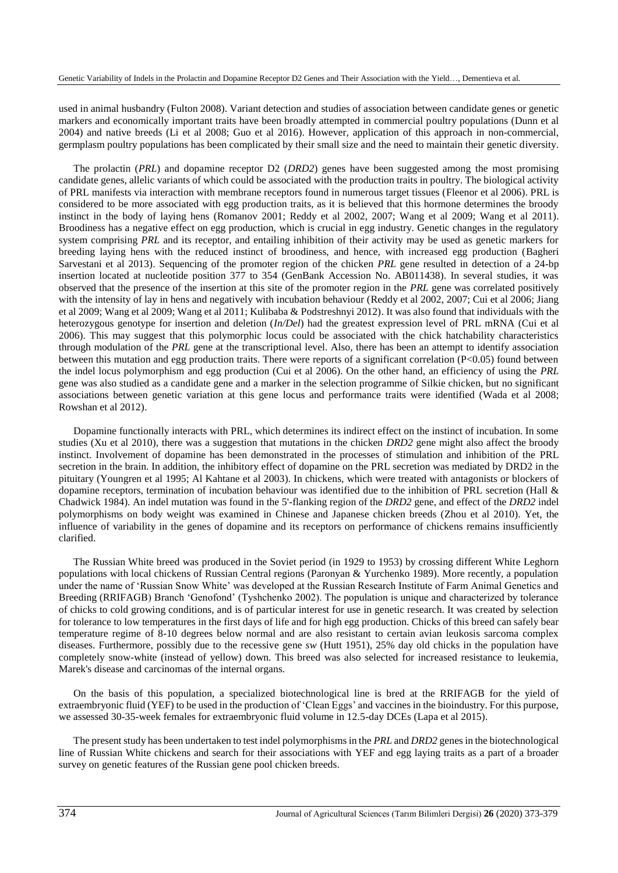used in animal husbandry (Fulton 2008). Variant detection and studies of association between candidate genes or genetic markers and economically important traits have been broadly attempted in commercial poultry populations (Dunn et al 2004) and native breeds (Li et al 2008; Guo et al 2016). However, application of this approach in non-commercial, germplasm poultry populations has been complicated by their small size and the need to maintain their genetic diversity.

The prolactin (*PRL*) and dopamine receptor D2 (*DRD2*) genes have been suggested among the most promising candidate genes, allelic variants of which could be associated with the production traits in poultry. The biological activity of PRL manifests via interaction with membrane receptors found in numerous target tissues (Fleenor et al 2006). PRL is considered to be more associated with egg production traits, as it is believed that this hormone determines the broody instinct in the body of laying hens (Romanov 2001; Reddy et al 2002, 2007; Wang et al 2009; Wang et al 2011). Broodiness has a negative effect on egg production, which is crucial in egg industry. Genetic changes in the regulatory system comprising *PRL* and its receptor, and entailing inhibition of their activity may be used as genetic markers for breeding laying hens with the reduced instinct of broodiness, and hence, with increased egg production (Bagheri Sarvestani et al 2013). Sequencing of the promoter region of the chicken *PRL* gene resulted in detection of a 24-bp insertion located at nucleotide position 377 to 354 (GenBank Accession No. AB011438). In several studies, it was observed that the presence of the insertion at this site of the promoter region in the *PRL* gene was correlated positively with the intensity of lay in hens and negatively with incubation behaviour (Reddy et al 2002, 2007; Cui et al 2006; Jiang et al 2009; Wang et al 2009; Wang et al 2011; Kulibaba & Podstreshnyi 2012). It was also found that individuals with the heterozygous genotype for insertion and deletion (*In/Del*) had the greatest expression level of PRL mRNA (Cui et al 2006). This may suggest that this polymorphic locus could be associated with the chick hatchability characteristics through modulation of the *PRL* gene at the transcriptional level. Also, there has been an attempt to identify association between this mutation and egg production traits. There were reports of a significant correlation  $(P<0.05)$  found between the indel locus polymorphism and egg production (Cui et al 2006). On the other hand, an efficiency of using the *PRL* gene was also studied as a candidate gene and a marker in the selection programme of Silkie chicken, but no significant associations between genetic variation at this gene locus and performance traits were identified (Wada et al 2008; Rowshan et al 2012).

Dopamine functionally interacts with PRL, which determines its indirect effect on the instinct of incubation. In some studies (Xu et al 2010), there was a suggestion that mutations in the chicken *DRD2* gene might also affect the broody instinct. Involvement of dopamine has been demonstrated in the processes of stimulation and inhibition of the PRL secretion in the brain. In addition, the inhibitory effect of dopamine on the PRL secretion was mediated by DRD2 in the pituitary (Youngren et al 1995; Al Kahtane et al 2003). In chickens, which were treated with antagonists or blockers of dopamine receptors, termination of incubation behaviour was identified due to the inhibition of PRL secretion (Hall & Chadwick 1984). An indel mutation was found in the 5'-flanking region of the *DRD2* gene, and effect of the *DRD2* indel polymorphisms on body weight was examined in Chinese and Japanese chicken breeds (Zhou et al 2010). Yet, the influence of variability in the genes of dopamine and its receptors on performance of chickens remains insufficiently clarified.

The Russian White breed was produced in the Soviet period (in 1929 to 1953) by crossing different White Leghorn populations with local chickens of Russian Central regions (Paronyan & Yurchenko 1989). More recently, a population under the name of 'Russian Snow White' was developed at the Russian Research Institute of Farm Animal Genetics and Breeding (RRIFAGB) Branch 'Genofond' (Tyshchenko 2002). The population is unique and characterized by tolerance of chicks to cold growing conditions, and is of particular interest for use in genetic research. It was created by selection for tolerance to low temperatures in the first days of life and for high egg production. Chicks of this breed can safely bear temperature regime of 8-10 degrees below normal and are also resistant to certain avian leukosis sarcoma complex diseases. Furthermore, possibly due to the recessive gene *sw* (Hutt 1951), 25% day old chicks in the population have completely snow-white (instead of yellow) down. This breed was also selected for increased resistance to leukemia, Marek's disease and carcinomas of the internal organs.

On the basis of this population, a specialized biotechnological line is bred at the RRIFAGB for the yield of extraembryonic fluid (YEF) to be used in the production of 'Clean Eggs' and vaccines in the bioindustry. For this purpose, we assessed 30-35-week females for extraembryonic fluid volume in 12.5-day DCEs (Lapa et al 2015).

The present study has been undertaken to test indel polymorphisms in the *PRL* and *DRD2* genes in the biotechnological line of Russian White chickens and search for their associations with YEF and egg laying traits as a part of a broader survey on genetic features of the Russian gene pool chicken breeds.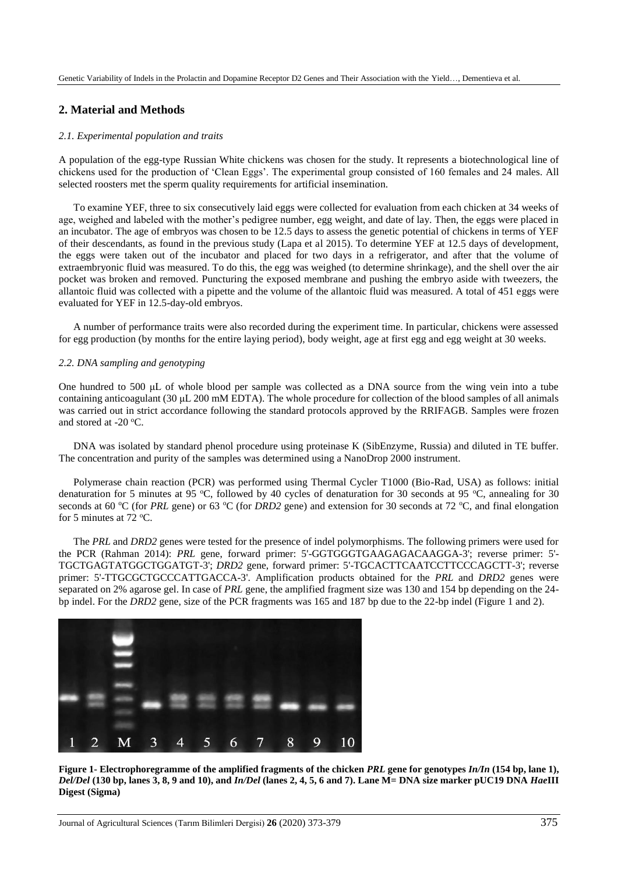#### **2. Material and Methods**

#### *2.1. Experimental population and traits*

A population of the egg-type Russian White chickens was chosen for the study. It represents a biotechnological line of chickens used for the production of 'Clean Eggs'. The experimental group consisted of 160 females and 24 males. All selected roosters met the sperm quality requirements for artificial insemination.

To examine YEF, three to six consecutively laid eggs were collected for evaluation from each chicken at 34 weeks of age, weighed and labeled with the mother's pedigree number, egg weight, and date of lay. Then, the eggs were placed in an incubator. The age of embryos was chosen to be 12.5 days to assess the genetic potential of chickens in terms of YEF of their descendants, as found in the previous study (Lapa et al 2015). To determine YEF at 12.5 days of development, the eggs were taken out of the incubator and placed for two days in a refrigerator, and after that the volume of extraembryonic fluid was measured. To do this, the egg was weighed (to determine shrinkage), and the shell over the air pocket was broken and removed. Puncturing the exposed membrane and pushing the embryo aside with tweezers, the allantoic fluid was collected with a pipette and the volume of the allantoic fluid was measured. A total of 451 eggs were evaluated for YEF in 12.5-day-old embryos.

A number of performance traits were also recorded during the experiment time. In particular, chickens were assessed for egg production (by months for the entire laying period), body weight, age at first egg and egg weight at 30 weeks.

#### *2.2. DNA sampling and genotyping*

One hundred to 500 μL of whole blood per sample was collected as a DNA source from the wing vein into a tube containing anticoagulant (30 μL 200 mM EDTA). The whole procedure for collection of the blood samples of all animals was carried out in strict accordance following the standard protocols approved by the RRIFAGB. Samples were frozen and stored at -20 $\,^{\circ}$ C.

DNA was isolated by standard phenol procedure using proteinase K (SibEnzyme, Russia) and diluted in TE buffer. The concentration and purity of the samples was determined using a NanoDrop 2000 instrument.

Polymerase chain reaction (PCR) was performed using Thermal Cycler T1000 (Bio-Rad, USA) as follows: initial denaturation for 5 minutes at 95 °C, followed by 40 cycles of denaturation for 30 seconds at 95 °C, annealing for 30 seconds at 60 °C (for *PRL* gene) or 63 °C (for *DRD2* gene) and extension for 30 seconds at 72 °C, and final elongation for 5 minutes at 72  $\mathrm{^{\circ}C}$ .

The *PRL* and *DRD2* genes were tested for the presence of indel polymorphisms. The following primers were used for the PCR (Rahman 2014): *PRL* gene, forward primer: 5'-GGTGGGTGAAGAGACAAGGA-3'; reverse primer: 5'- TGCTGAGTATGGCTGGATGT-3'; *DRD2* gene, forward primer: 5'-TGCACTTCAATCCTTCCCAGCTT-3'; reverse primer: 5'-TTGCGCTGCCCATTGACCA-3'. Amplification products obtained for the *PRL* and *DRD2* genes were separated on 2% agarose gel. In case of *PRL* gene, the amplified fragment size was 130 and 154 bp depending on the 24 bp indel. For the *DRD2* gene, size of the PCR fragments was 165 and 187 bp due to the 22-bp indel (Figure 1 and 2).



**Figure 1- Electrophoregramme of the amplified fragments of the chicken** *PRL* **gene for genotypes** *In/In* **(154 bp, lane 1),**  *Del/Del* **(130 bp, lanes 3, 8, 9 and 10), and** *In/Del* **(lanes 2, 4, 5, 6 and 7). Lane M= DNA size marker pUC19 DNA** *Hae***III Digest (Sigma)**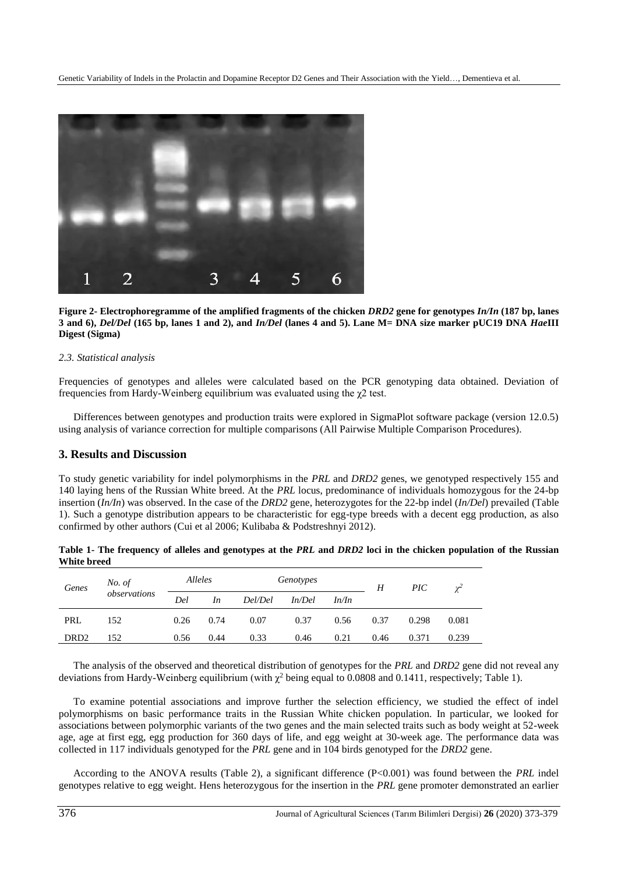

**Figure 2- Electrophoregramme of the amplified fragments of the chicken** *DRD2* **gene for genotypes** *In/In* **(187 bp, lanes 3 and 6),** *Del/Del* **(165 bp, lanes 1 and 2), and** *In/Del* **(lanes 4 and 5). Lane M= DNA size marker pUC19 DNA** *Hae***III Digest (Sigma)**

#### *2.3. Statistical analysis*

Frequencies of genotypes and alleles were calculated based on the PCR genotyping data obtained. Deviation of frequencies from Hardy-Weinberg equilibrium was evaluated using the χ2 test.

Differences between genotypes and production traits were explored in SigmaPlot software package (version 12.0.5) using analysis of variance correction for multiple comparisons (All Pairwise Multiple Comparison Procedures).

#### **3. Results and Discussion**

To study genetic variability for indel polymorphisms in the *PRL* and *DRD2* genes, we genotyped respectively 155 and 140 laying hens of the Russian White breed. At the *PRL* locus, predominance of individuals homozygous for the 24-bp insertion (*In/In*) was observed. In the case of the *DRD2* gene, heterozygotes for the 22-bp indel (*In/Del*) prevailed (Table 1). Such a genotype distribution appears to be characteristic for egg-type breeds with a decent egg production, as also confirmed by other authors (Cui et al 2006; Kulibaba & Podstreshnyi 2012).

| Genes            | No. of<br>observations | Alleles |      |         | Genotypes |       | H    | $\overline{PIC}$ | $\gamma^2$ |
|------------------|------------------------|---------|------|---------|-----------|-------|------|------------------|------------|
|                  |                        | Del     | In   | Del/Del | In/Del    | In/In |      |                  |            |
| PRL              | 152                    | 0.26    | 0.74 | 0.07    | 0.37      | 0.56  | 0.37 | 0.298            | 0.081      |
| DRD <sub>2</sub> | 152                    | 0.56    | 0.44 | 0.33    | 0.46      | 0.21  | 0.46 | 0.371            | 0.239      |

| Table 1- The frequency of alleles and genotypes at the PRL and DRD2 loci in the chicken population of the Russian |  |
|-------------------------------------------------------------------------------------------------------------------|--|
| White breed                                                                                                       |  |

The analysis of the observed and theoretical distribution of genotypes for the *PRL* and *DRD2* gene did not reveal any deviations from Hardy-Weinberg equilibrium (with  $\gamma^2$  being equal to 0.0808 and 0.1411, respectively; Table 1).

To examine potential associations and improve further the selection efficiency, we studied the effect of indel polymorphisms on basic performance traits in the Russian White chicken population. In particular, we looked for associations between polymorphic variants of the two genes and the main selected traits such as body weight at 52-week age, age at first egg, egg production for 360 days of life, and egg weight at 30-week age. The performance data was collected in 117 individuals genotyped for the *PRL* gene and in 104 birds genotyped for the *DRD2* gene.

According to the ANOVA results (Table 2), a significant difference (P<0.001) was found between the *PRL* indel genotypes relative to egg weight. Hens heterozygous for the insertion in the *PRL* gene promoter demonstrated an earlier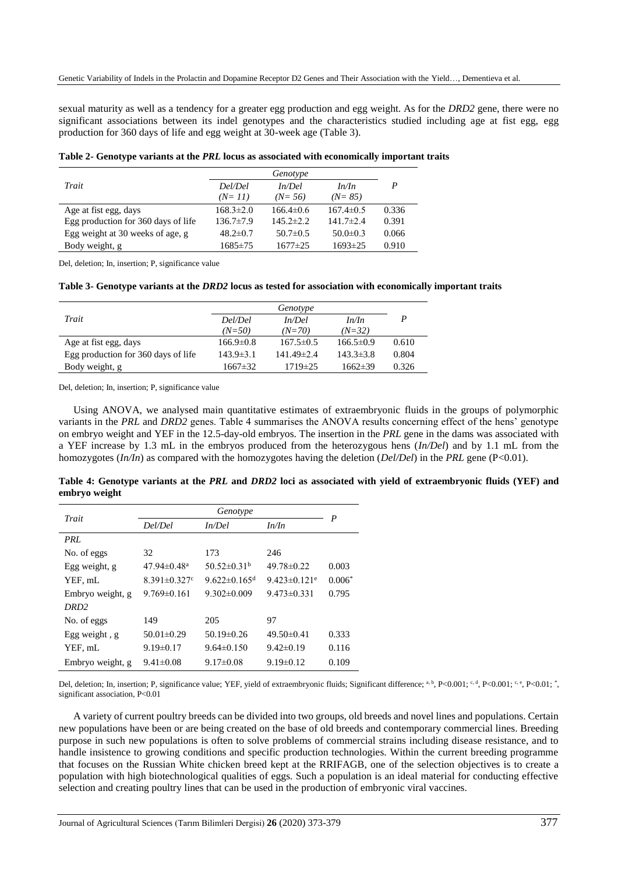sexual maturity as well as a tendency for a greater egg production and egg weight. As for the *DRD2* gene, there were no significant associations between its indel genotypes and the characteristics studied including age at fist egg, egg production for 360 days of life and egg weight at 30-week age (Table 3).

**Table 2- Genotype variants at the** *PRL* **locus as associated with economically important traits**

| Trait                               | Del/Del         | In/Del          | In/In           | P     |
|-------------------------------------|-----------------|-----------------|-----------------|-------|
|                                     | $(N=11)$        | $(N=56)$        | $(N=85)$        |       |
| Age at fist egg, days               | $168.3 \pm 2.0$ | $166.4\pm0.6$   | $167.4 \pm 0.5$ | 0.336 |
| Egg production for 360 days of life | $136.7 \pm 7.9$ | $145.2 \pm 2.2$ | $141.7 \pm 2.4$ | 0.391 |
| Egg weight at 30 weeks of age, g    | $48.2 \pm 0.7$  | $50.7 \pm 0.5$  | $50.0 \pm 0.3$  | 0.066 |
| Body weight, g                      | $1685 \pm 75$   | $1677 \pm 25$   | $1693 \pm 25$   | 0.910 |

Del, deletion; In, insertion; P, significance value

**Table 3- Genotype variants at the** *DRD2* **locus as tested for association with economically important traits**

|                                     | Genotype        |                  |                 |       |
|-------------------------------------|-----------------|------------------|-----------------|-------|
| Trait                               | Del/Del         | In/Del           | In/In           | P     |
|                                     | $(N=50)$        | $(N=70)$         | $(N=32)$        |       |
| Age at fist egg, days               | $166.9 \pm 0.8$ | $167.5 \pm 0.5$  | $166.5\pm0.9$   | 0.610 |
| Egg production for 360 days of life | $143.9 \pm 3.1$ | $141.49 \pm 2.4$ | $143.3 \pm 3.8$ | 0.804 |
| Body weight, g                      | $1667 \pm 32$   | $1719 \pm 25$    | $1662\pm39$     | 0.326 |

Del, deletion; In, insertion; P, significance value

Using ANOVA, we analysed main quantitative estimates of extraembryonic fluids in the groups of polymorphic variants in the *PRL* and *DRD2* genes. Table 4 summarises the ANOVA results concerning effect of the hens' genotype on embryo weight and YEF in the 12.5-day-old embryos. The insertion in the *PRL* gene in the dams was associated with a YEF increase by 1.3 mL in the embryos produced from the heterozygous hens (*In/Del*) and by 1.1 mL from the homozygotes (*In/In*) as compared with the homozygotes having the deletion (*Del/Del*) in the *PRL* gene (P<0.01).

| Trait            | Genotype<br>Del/Del<br>In/Del |                                | In/In                          | $\boldsymbol{P}$ |
|------------------|-------------------------------|--------------------------------|--------------------------------|------------------|
|                  |                               |                                |                                |                  |
| PRL              |                               |                                |                                |                  |
| No. of eggs      | 32                            | 173                            | 246                            |                  |
| Egg weight, g    | $47.94 \pm 0.48$ <sup>a</sup> | $50.52 \pm 0.31^{\rm b}$       | $49.78 \pm 0.22$               | 0.003            |
| YEF, mL          | $8.391 \pm 0.327$ °           | 9.622 $\pm$ 0.165 <sup>d</sup> | $9.423 \pm 0.121$ <sup>e</sup> | $0.006*$         |
| Embryo weight, g | $9.769 \pm 0.161$             | $9.302 \pm 0.009$              | $9.473 \pm 0.331$              | 0.795            |
| DRD <sub>2</sub> |                               |                                |                                |                  |
| No. of eggs      | 149                           | 205                            | 97                             |                  |
| Egg weight, $g$  | $50.01 \pm 0.29$              | $50.19 \pm 0.26$               | $49.50 \pm 0.41$               | 0.333            |
| YEF, mL          | $9.19 \pm 0.17$               | $9.64\pm0.150$                 | $9.42\pm0.19$                  | 0.116            |
| Embryo weight, g | $9.41 \pm 0.08$               | $9.17 \pm 0.08$                | $9.19 \pm 0.12$                | 0.109            |

**Table 4: Genotype variants at the** *PRL* **and** *DRD2* **loci as associated with yield of extraembryonic fluids (YEF) and embryo weight**

Del, deletion; In, insertion; P, significance value; YEF, yield of extraembryonic fluids; Significant difference; a, b, P<0.001; c, d, P<0.001; c, e, P<0.01;  $\gamma$ , significant association, P<0.01

A variety of current poultry breeds can be divided into two groups, old breeds and novel lines and populations. Certain new populations have been or are being created on the base of old breeds and contemporary commercial lines. Breeding purpose in such new populations is often to solve problems of commercial strains including disease resistance, and to handle insistence to growing conditions and specific production technologies. Within the current breeding programme that focuses on the Russian White chicken breed kept at the RRIFAGB, one of the selection objectives is to create a population with high biotechnological qualities of eggs. Such a population is an ideal material for conducting effective selection and creating poultry lines that can be used in the production of embryonic viral vaccines.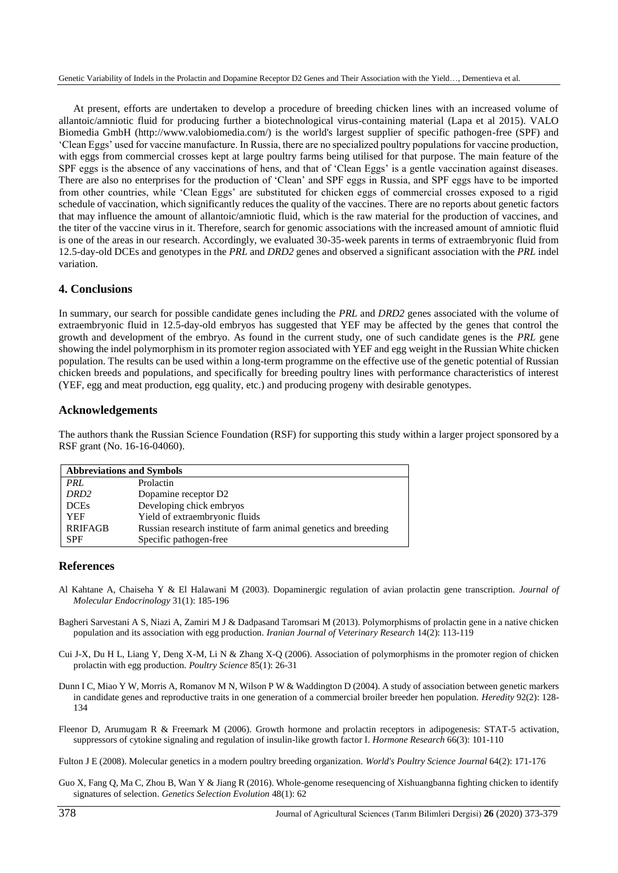At present, efforts are undertaken to develop a procedure of breeding chicken lines with an increased volume of allantoic/amniotic fluid for producing further a biotechnological virus-containing material (Lapa et al 2015). VALO Biomedia GmbH (http://www.valobiomedia.com/) is the world's largest supplier of specific pathogen-free (SPF) and 'Clean Eggs' used for vaccine manufacture. In Russia, there are no specialized poultry populations for vaccine production, with eggs from commercial crosses kept at large poultry farms being utilised for that purpose. The main feature of the SPF eggs is the absence of any vaccinations of hens, and that of 'Clean Eggs' is a gentle vaccination against diseases. There are also no enterprises for the production of 'Clean' and SPF eggs in Russia, and SPF eggs have to be imported from other countries, while 'Clean Eggs' are substituted for chicken eggs of commercial crosses exposed to a rigid schedule of vaccination, which significantly reduces the quality of the vaccines. There are no reports about genetic factors that may influence the amount of allantoic/amniotic fluid, which is the raw material for the production of vaccines, and the titer of the vaccine virus in it. Therefore, search for genomic associations with the increased amount of amniotic fluid is one of the areas in our research. Accordingly, we evaluated 30-35-week parents in terms of extraembryonic fluid from 12.5-day-old DCEs and genotypes in the *PRL* and *DRD2* genes and observed a significant association with the *PRL* indel variation.

#### **4. Conclusions**

In summary, our search for possible candidate genes including the *PRL* and *DRD2* genes associated with the volume of extraembryonic fluid in 12.5-day-old embryos has suggested that YEF may be affected by the genes that control the growth and development of the embryo. As found in the current study, one of such candidate genes is the *PRL* gene showing the indel polymorphism in its promoter region associated with YEF and egg weight in the Russian White chicken population. The results can be used within a long-term programme on the effective use of the genetic potential of Russian chicken breeds and populations, and specifically for breeding poultry lines with performance characteristics of interest (YEF, egg and meat production, egg quality, etc.) and producing progeny with desirable genotypes.

#### **Acknowledgements**

The authors thank the Russian Science Foundation (RSF) for supporting this study within a larger project sponsored by a RSF grant (No. 16-16-04060).

| <b>Abbreviations and Symbols</b> |                                                                 |  |  |  |
|----------------------------------|-----------------------------------------------------------------|--|--|--|
| PRL                              | Prolactin                                                       |  |  |  |
| DRD <sub>2</sub>                 | Dopamine receptor D2                                            |  |  |  |
| <b>DCEs</b>                      | Developing chick embryos                                        |  |  |  |
| <b>YEF</b>                       | Yield of extraembryonic fluids                                  |  |  |  |
| <b>RRIFAGB</b>                   | Russian research institute of farm animal genetics and breeding |  |  |  |
| <b>SPF</b>                       | Specific pathogen-free                                          |  |  |  |

#### **References**

- Al Kahtane A, Chaiseha Y & El Halawani M (2003). Dopaminergic regulation of avian prolactin gene transcription. *Journal of Molecular Endocrinology* 31(1): 185-196
- Bagheri Sarvestani A S, Niazi A, Zamiri M J & Dadpasand Taromsari M (2013). Polymorphisms of prolactin gene in a native chicken population and its association with egg production. *Iranian Journal of Veterinary Research* 14(2): 113-119
- Cui J-X, Du H L, Liang Y, Deng X-M, Li N & Zhang X-Q (2006). Association of polymorphisms in the promoter region of chicken prolactin with egg production. *Poultry Science* 85(1): 26-31
- Dunn I C, Miao Y W, Morris A, Romanov M N, Wilson P W & Waddington D (2004). A study of association between genetic markers in candidate genes and reproductive traits in one generation of a commercial broiler breeder hen population. *Heredity* 92(2): 128- 134
- Fleenor D, Arumugam R & Freemark M (2006). Growth hormone and prolactin receptors in adipogenesis: STAT-5 activation, suppressors of cytokine signaling and regulation of insulin-like growth factor I. *Hormone Research* 66(3): 101-110
- Fulton J E (2008). Molecular genetics in a modern poultry breeding organization. *World's Poultry Science Journal* 64(2): 171-176
- Guo X, Fang Q, Ma C, Zhou B, Wan Y & Jiang R (2016). Whole-genome resequencing of Xishuangbanna fighting chicken to identify signatures of selection. *Genetics Selection Evolution* 48(1): 62